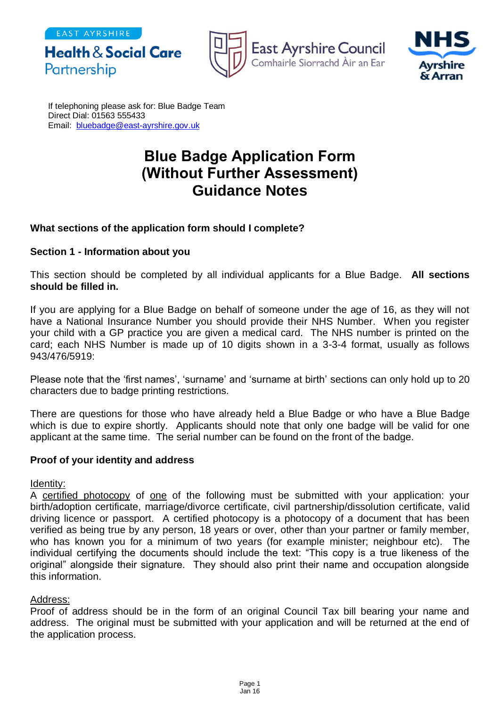Partnership

**Health & Social Care** 





If telephoning please ask for: Blue Badge Team Direct Dial: 01563 555433 Email: [bluebadge@east-ayrshire.gov.uk](mailto:bluebadge@east-ayrshire.gcsx.gov.uk)

# **Blue Badge Application Form (Without Further Assessment) Guidance Notes**

## **What sections of the application form should I complete?**

## **Section 1 - Information about you**

This section should be completed by all individual applicants for a Blue Badge. **All sections should be filled in.**

If you are applying for a Blue Badge on behalf of someone under the age of 16, as they will not have a National Insurance Number you should provide their NHS Number. When you register your child with a GP practice you are given a medical card. The NHS number is printed on the card; each NHS Number is made up of 10 digits shown in a 3-3-4 format, usually as follows 943/476/5919:

Please note that the 'first names', 'surname' and 'surname at birth' sections can only hold up to 20 characters due to badge printing restrictions.

There are questions for those who have already held a Blue Badge or who have a Blue Badge which is due to expire shortly. Applicants should note that only one badge will be valid for one applicant at the same time. The serial number can be found on the front of the badge.

## **Proof of your identity and address**

Identity:

A certified photocopy of one of the following must be submitted with your application: your birth/adoption certificate, marriage/divorce certificate, civil partnership/dissolution certificate, valid driving licence or passport. A certified photocopy is a photocopy of a document that has been verified as being true by any person, 18 years or over, other than your partner or family member, who has known you for a minimum of two years (for example minister; neighbour etc). The individual certifying the documents should include the text: "This copy is a true likeness of the original" alongside their signature. They should also print their name and occupation alongside this information.

## Address:

Proof of address should be in the form of an original Council Tax bill bearing your name and address. The original must be submitted with your application and will be returned at the end of the application process.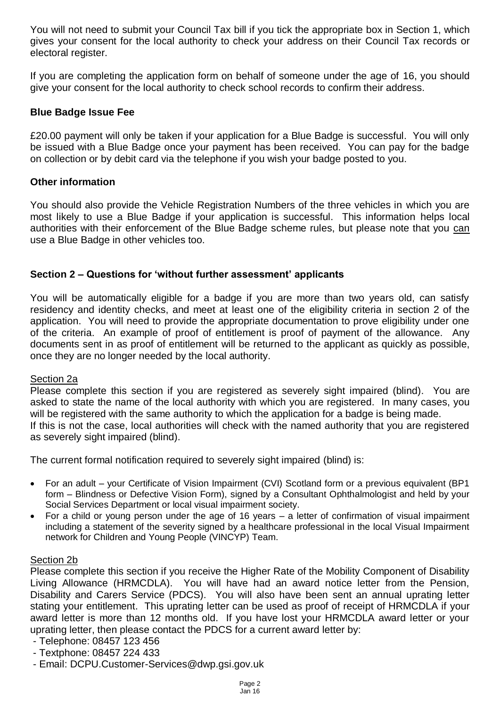You will not need to submit your Council Tax bill if you tick the appropriate box in Section 1, which gives your consent for the local authority to check your address on their Council Tax records or electoral register.

If you are completing the application form on behalf of someone under the age of 16, you should give your consent for the local authority to check school records to confirm their address.

## **Blue Badge Issue Fee**

£20.00 payment will only be taken if your application for a Blue Badge is successful. You will only be issued with a Blue Badge once your payment has been received. You can pay for the badge on collection or by debit card via the telephone if you wish your badge posted to you.

## **Other information**

You should also provide the Vehicle Registration Numbers of the three vehicles in which you are most likely to use a Blue Badge if your application is successful. This information helps local authorities with their enforcement of the Blue Badge scheme rules, but please note that you can use a Blue Badge in other vehicles too.

## **Section 2 – Questions for 'without further assessment' applicants**

You will be automatically eligible for a badge if you are more than two years old, can satisfy residency and identity checks, and meet at least one of the eligibility criteria in section 2 of the application. You will need to provide the appropriate documentation to prove eligibility under one of the criteria. An example of proof of entitlement is proof of payment of the allowance. Any documents sent in as proof of entitlement will be returned to the applicant as quickly as possible, once they are no longer needed by the local authority.

## Section 2a

Please complete this section if you are registered as severely sight impaired (blind). You are asked to state the name of the local authority with which you are registered. In many cases, you will be registered with the same authority to which the application for a badge is being made. If this is not the case, local authorities will check with the named authority that you are registered as severely sight impaired (blind).

The current formal notification required to severely sight impaired (blind) is:

- For an adult your Certificate of Vision Impairment (CVI) Scotland form or a previous equivalent (BP1 form – Blindness or Defective Vision Form), signed by a Consultant Ophthalmologist and held by your Social Services Department or local visual impairment society.
- For a child or young person under the age of 16 years a letter of confirmation of visual impairment including a statement of the severity signed by a healthcare professional in the local Visual Impairment network for Children and Young People (VINCYP) Team.

# Section 2b

Please complete this section if you receive the Higher Rate of the Mobility Component of Disability Living Allowance (HRMCDLA). You will have had an award notice letter from the Pension, Disability and Carers Service (PDCS). You will also have been sent an annual uprating letter stating your entitlement. This uprating letter can be used as proof of receipt of HRMCDLA if your award letter is more than 12 months old. If you have lost your HRMCDLA award letter or your uprating letter, then please contact the PDCS for a current award letter by:

- Telephone: 08457 123 456
- Textphone: 08457 224 433
- Email: DCPU.Customer-Services@dwp.gsi.gov.uk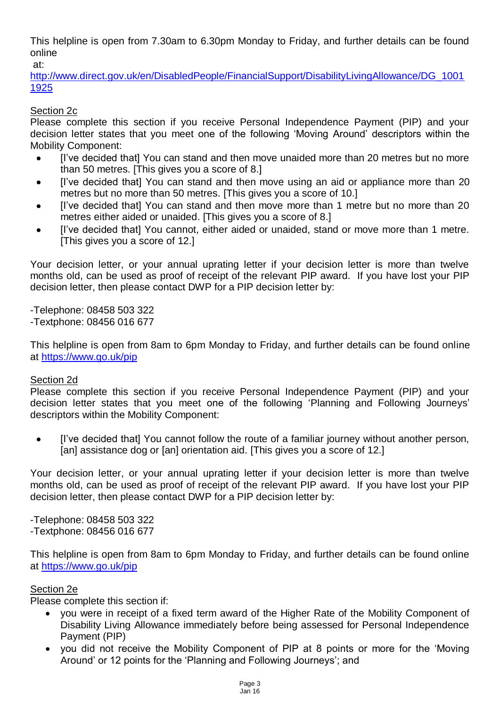This helpline is open from 7.30am to 6.30pm Monday to Friday, and further details can be found online at:

[http://www.direct.gov.uk/en/DisabledPeople/FinancialSupport/DisabilityLivingAllowance/DG\\_1001](http://www.direct.gov.uk/en/DisabledPeople/FinancialSupport/DisabilityLivingAllowance/DG_10011925) [1925](http://www.direct.gov.uk/en/DisabledPeople/FinancialSupport/DisabilityLivingAllowance/DG_10011925) 

## Section 2c

Please complete this section if you receive Personal Independence Payment (PIP) and your decision letter states that you meet one of the following 'Moving Around' descriptors within the Mobility Component:

- I've decided that] You can stand and then move unaided more than 20 metres but no more than 50 metres. [This gives you a score of 8.]
- I've decided that You can stand and then move using an aid or appliance more than 20 metres but no more than 50 metres. [This gives you a score of 10.]
- I've decided that You can stand and then move more than 1 metre but no more than 20 metres either aided or unaided. [This gives you a score of 8.]
- [I've decided that] You cannot, either aided or unaided, stand or move more than 1 metre. [This gives you a score of 12.]

Your decision letter, or your annual uprating letter if your decision letter is more than twelve months old, can be used as proof of receipt of the relevant PIP award. If you have lost your PIP decision letter, then please contact DWP for a PIP decision letter by:

-Telephone: 08458 503 322 -Textphone: 08456 016 677

This helpline is open from 8am to 6pm Monday to Friday, and further details can be found online at<https://www.go.uk/pip>

## Section 2d

Please complete this section if you receive Personal Independence Payment (PIP) and your decision letter states that you meet one of the following 'Planning and Following Journeys' descriptors within the Mobility Component:

 [I've decided that] You cannot follow the route of a familiar journey without another person, [an] assistance dog or [an] orientation aid. [This gives you a score of 12.]

Your decision letter, or your annual uprating letter if your decision letter is more than twelve months old, can be used as proof of receipt of the relevant PIP award. If you have lost your PIP decision letter, then please contact DWP for a PIP decision letter by:

-Telephone: 08458 503 322 -Textphone: 08456 016 677

This helpline is open from 8am to 6pm Monday to Friday, and further details can be found online at<https://www.go.uk/pip>

# Section 2e

Please complete this section if:

- you were in receipt of a fixed term award of the Higher Rate of the Mobility Component of Disability Living Allowance immediately before being assessed for Personal Independence Payment (PIP)
- you did not receive the Mobility Component of PIP at 8 points or more for the 'Moving' Around' or 12 points for the 'Planning and Following Journeys'; and